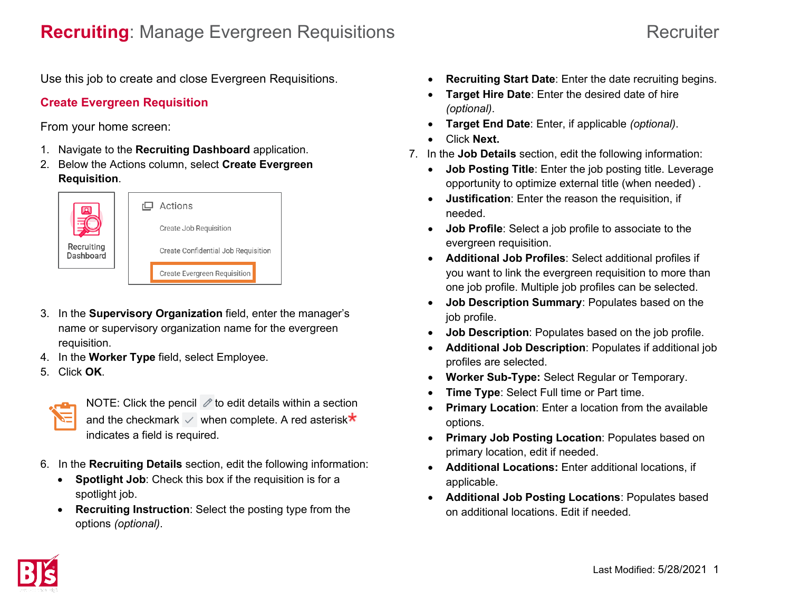Use this job to create and close Evergreen Requisitions.

## **Create Evergreen Requisition**

From your home screen:

- 1. Navigate to the **Recruiting Dashboard** application.
- 2. Below the Actions column, select **Create Evergreen Requisition**.



- 3. In the **Supervisory Organization** field, enter the manager's name or supervisory organization name for the evergreen requisition.
- 4. In the **Worker Type** field, select Employee.
- 5. Click **OK**.



NOTE: Click the pencil  $\mathcal O$  to edit details within a section and the checkmark  $\vee$  when complete. A red asterisk $\star$ indicates a field is required.

- 6. In the **Recruiting Details** section, edit the following information:
	- **Spotlight Job**: Check this box if the requisition is for a spotlight job.
	- **Recruiting Instruction**: Select the posting type from the options *(optional)*.
- **Recruiting Start Date**: Enter the date recruiting begins.
- **Target Hire Date**: Enter the desired date of hire *(optional)*.
- **Target End Date**: Enter, if applicable *(optional)*.
- Click **Next.**
- 7. In the **Job Details** section, edit the following information:
	- **Job Posting Title**: Enter the job posting title. Leverage opportunity to optimize external title (when needed) .
	- **Justification**: Enter the reason the requisition, if needed.
	- **Job Profile**: Select a job profile to associate to the evergreen requisition.
	- **Additional Job Profiles**: Select additional profiles if you want to link the evergreen requisition to more than one job profile. Multiple job profiles can be selected.
	- **Job Description Summary**: Populates based on the job profile.
	- **Job Description**: Populates based on the job profile.
	- **Additional Job Description**: Populates if additional job profiles are selected.
	- **Worker Sub-Type:** Select Regular or Temporary.
	- **Time Type: Select Full time or Part time.**
	- **Primary Location:** Enter a location from the available options.
	- **Primary Job Posting Location**: Populates based on primary location, edit if needed.
	- **Additional Locations:** Enter additional locations, if applicable.
	- **Additional Job Posting Locations**: Populates based on additional locations. Edit if needed.